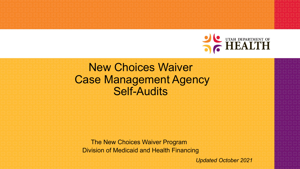

# New Choices Waiver Case Management Agency Self-Audits

The New Choices Waiver Program Division of Medicaid and Health Financing

*Updated October 2021*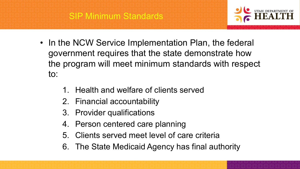

- In the NCW Service Implementation Plan, the federal government requires that the state demonstrate how the program will meet minimum standards with respect to:
	- 1. Health and welfare of clients served
	- 2. Financial accountability
	- 3. Provider qualifications
	- 4. Person centered care planning
	- 5. Clients served meet level of care criteria
	- 6. The State Medicaid Agency has final authority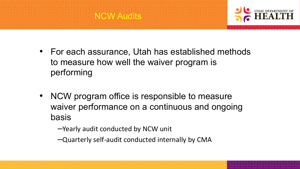

- For each assurance, Utah has established methods to measure how well the waiver program is performing
- NCW program office is responsible to measure waiver performance on a continuous and ongoing basis
	- –Yearly audit conducted by NCW unit
	- –Quarterly self-audit conducted internally by CMA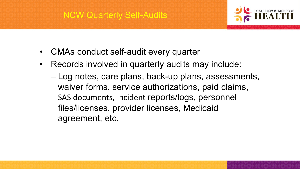## NCW Quarterly Self-Audits



- CMAs conduct self-audit every quarter
- Records involved in quarterly audits may include:
	- Log notes, care plans, back-up plans, assessments, waiver forms, service authorizations, paid claims, SAS documents, incident reports/logs, personnel files/licenses, provider licenses, Medicaid agreement, etc.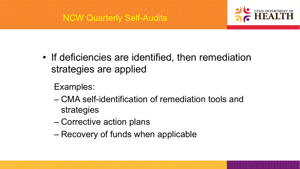



- If deficiencies are identified, then remediation strategies are applied
	- Examples:
	- CMA self-identification of remediation tools and strategies
	- Corrective action plans
	- Recovery of funds when applicable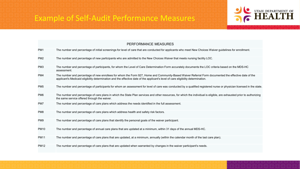### Example of Self-Audit Performance Measures



| PERFORMANCE MEASURES |                                                                                                                                                                                                                                                                                           |  |
|----------------------|-------------------------------------------------------------------------------------------------------------------------------------------------------------------------------------------------------------------------------------------------------------------------------------------|--|
| PM <sub>1</sub>      | The number and percentage of initial screenings for level of care that are conducted for applicants who meet New Choices Waiver guidelines for enrollment.                                                                                                                                |  |
| PM <sub>2</sub>      | The number and percentage of new participants who are admitted to the New Choices Waiver that meets nursing facility LOC.                                                                                                                                                                 |  |
| PM <sub>3</sub>      | The number and percentage of participants, for whom the Level of Care Determination Form accurately documents the LOC criteria based on the MDS-HC<br>assessment.                                                                                                                         |  |
| PM4                  | The number and percentage of new enrollees for whom the Form 927, Home and Community-Based Waiver Referral Form documented the effective date of the<br>applicant's Medicaid eligibility determination and the effective date of the applicant's level of care eligibility determination. |  |
| PM <sub>5</sub>      | The number and percentage of participants for whom an assessment for level of care was conducted by a qualified registered nurse or physician licensed in the state.                                                                                                                      |  |
| PM <sub>6</sub>      | The number and percentage of care plans in which the State Plan services and other resources, for which the individual is eligible, are exhausted prior to authorizing<br>the same service offered through the waiver.                                                                    |  |
| PM7                  | The number and percentage of care plans which address the needs identified in the full assessment.                                                                                                                                                                                        |  |
| PM <sub>8</sub>      | The number and percentage of care plans which address health and safety risk factors.                                                                                                                                                                                                     |  |
| PM9                  | The number and percentage of care plans that identify the personal goals of the waiver participant.                                                                                                                                                                                       |  |
| <b>PM10</b>          | The number and percentage of annual care plans that are updated at a minimum, within 31 days of the annual MDS-HC.                                                                                                                                                                        |  |
| <b>PM11</b>          | The number and percentage of care plans that are updated, at a minimum, annually (within the calendar month of the last care plan).                                                                                                                                                       |  |
| <b>PM12</b>          | The number and percentage of care plans that are updated when warranted by changes in the waiver participant's needs.                                                                                                                                                                     |  |